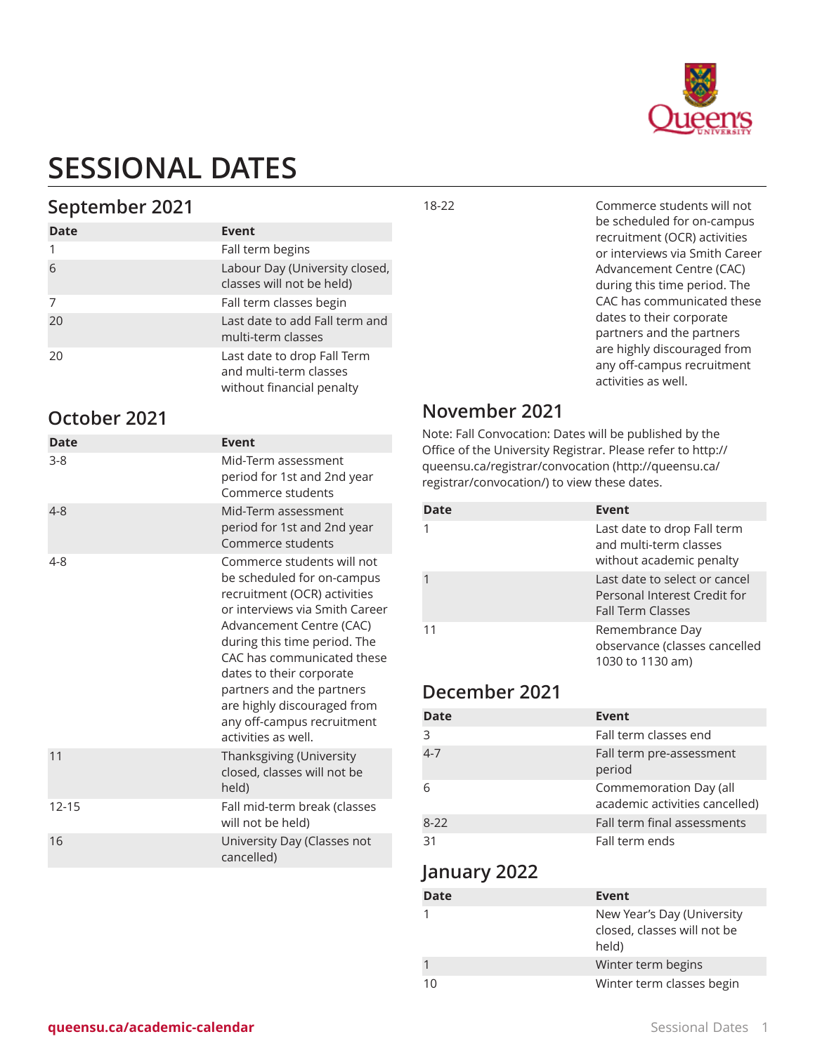

# **SESSIONAL DATES**

#### **September 2021**

| Date | <b>Event</b>                                                                       |
|------|------------------------------------------------------------------------------------|
|      | Fall term begins                                                                   |
| 6    | Labour Day (University closed,<br>classes will not be held)                        |
|      | Fall term classes begin                                                            |
| 20   | Last date to add Fall term and<br>multi-term classes                               |
| 20   | Last date to drop Fall Term<br>and multi-term classes<br>without financial penalty |

### **October 2021**

| <b>Date</b> | <b>Event</b>                                                                                                                                                                                                                                                                                                                                                      |
|-------------|-------------------------------------------------------------------------------------------------------------------------------------------------------------------------------------------------------------------------------------------------------------------------------------------------------------------------------------------------------------------|
| $3 - 8$     | Mid-Term assessment<br>period for 1st and 2nd year<br>Commerce students                                                                                                                                                                                                                                                                                           |
| $4 - 8$     | Mid-Term assessment<br>period for 1st and 2nd year<br>Commerce students                                                                                                                                                                                                                                                                                           |
| 4-8         | Commerce students will not<br>be scheduled for on-campus<br>recruitment (OCR) activities<br>or interviews via Smith Career<br>Advancement Centre (CAC)<br>during this time period. The<br>CAC has communicated these<br>dates to their corporate<br>partners and the partners<br>are highly discouraged from<br>any off-campus recruitment<br>activities as well. |
| 11          | Thanksgiving (University<br>closed, classes will not be<br>held)                                                                                                                                                                                                                                                                                                  |
| $12 - 15$   | Fall mid-term break (classes<br>will not be held)                                                                                                                                                                                                                                                                                                                 |
| 16          | University Day (Classes not<br>cancelled)                                                                                                                                                                                                                                                                                                                         |

18-22 Commerce students will not be scheduled for on-campus recruitment (OCR) activities or interviews via Smith Career Advancement Centre (CAC) during this time period. The CAC has communicated these dates to their corporate partners and the partners are highly discouraged from any off-campus recruitment activities as well.

#### **November 2021**

Note: Fall Convocation: Dates will be published by the Office of the University Registrar. Please refer to [http://](http://queensu.ca/registrar/convocation/) [queensu.ca/registrar/convocation](http://queensu.ca/registrar/convocation/) [\(http://queensu.ca/](http://queensu.ca/registrar/convocation/) [registrar/convocation/](http://queensu.ca/registrar/convocation/)) to view these dates.

| Date | Event                                                                                     |
|------|-------------------------------------------------------------------------------------------|
|      | Last date to drop Fall term<br>and multi-term classes<br>without academic penalty         |
|      | Last date to select or cancel<br>Personal Interest Credit for<br><b>Fall Term Classes</b> |
| 11   | Remembrance Day<br>observance (classes cancelled<br>1030 to 1130 am)                      |

#### **December 2021**

| Date     | Event                                                    |
|----------|----------------------------------------------------------|
| ς        | Fall term classes end                                    |
| $4 - 7$  | Fall term pre-assessment<br>period                       |
|          | Commemoration Day (all<br>academic activities cancelled) |
| $8 - 22$ | Fall term final assessments                              |
| 31       | Fall term ends                                           |

#### **January 2022**

| Date | Event                                                              |
|------|--------------------------------------------------------------------|
|      | New Year's Day (University<br>closed, classes will not be<br>held) |
|      | Winter term begins                                                 |
| 10   | Winter term classes begin                                          |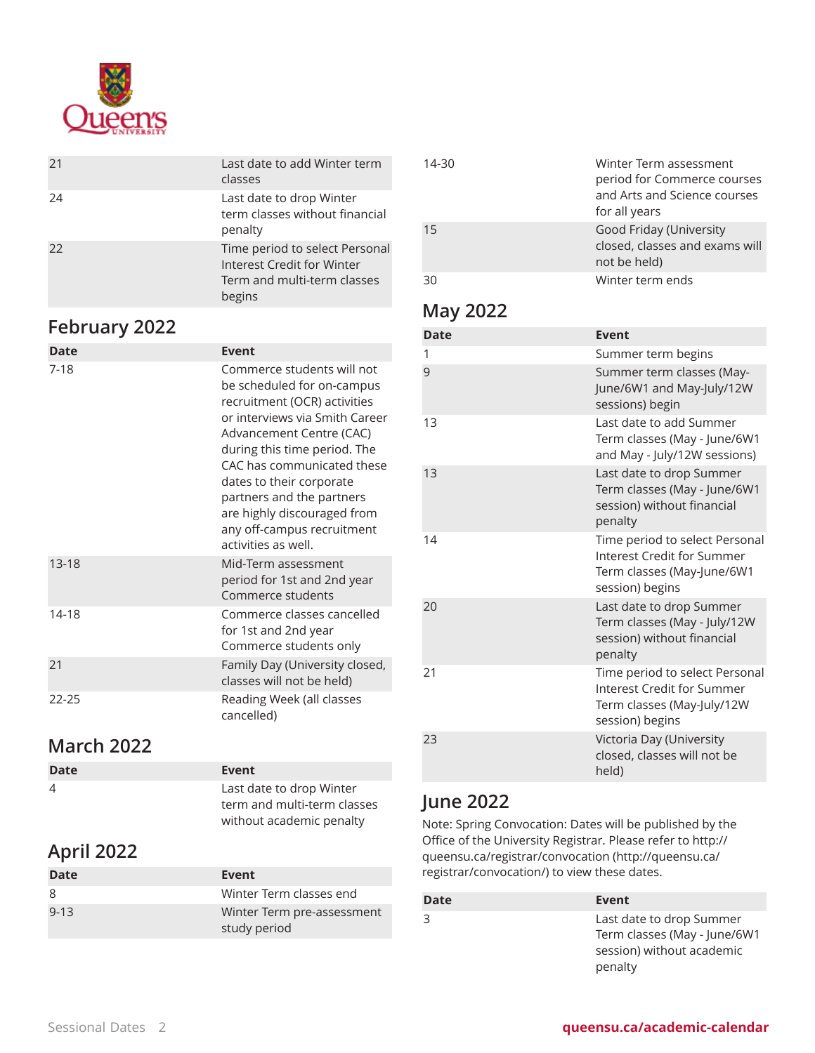

| 21 | Last date to add Winter term<br>classes                                                               |
|----|-------------------------------------------------------------------------------------------------------|
| 24 | Last date to drop Winter<br>term classes without financial<br>penalty                                 |
| 22 | Time period to select Personal<br>Interest Credit for Winter<br>Term and multi-term classes<br>begins |

### **February 2022**

| <b>Date</b> | Event                                                                                                                                                                                                                                                                                                                                                             |
|-------------|-------------------------------------------------------------------------------------------------------------------------------------------------------------------------------------------------------------------------------------------------------------------------------------------------------------------------------------------------------------------|
| $7-18$      | Commerce students will not<br>be scheduled for on-campus<br>recruitment (OCR) activities<br>or interviews via Smith Career<br>Advancement Centre (CAC)<br>during this time period. The<br>CAC has communicated these<br>dates to their corporate<br>partners and the partners<br>are highly discouraged from<br>any off-campus recruitment<br>activities as well. |
| $13 - 18$   | Mid-Term assessment<br>period for 1st and 2nd year<br>Commerce students                                                                                                                                                                                                                                                                                           |
| 14-18       | Commerce classes cancelled<br>for 1st and 2nd year<br>Commerce students only                                                                                                                                                                                                                                                                                      |
| 21          | Family Day (University closed,<br>classes will not be held)                                                                                                                                                                                                                                                                                                       |
| $22 - 25$   | Reading Week (all classes<br>cancelled)                                                                                                                                                                                                                                                                                                                           |

#### **March 2022**

| Date           | Event                       |
|----------------|-----------------------------|
| $\overline{4}$ | Last date to drop Winter    |
|                | term and multi-term classes |
|                | without academic penalty    |

## **April 2022**

| Date     | Event                                      |
|----------|--------------------------------------------|
| -8       | Winter Term classes end                    |
| $9 - 13$ | Winter Term pre-assessment<br>study period |

| 14-30 | Winter Term assessment<br>period for Commerce courses<br>and Arts and Science courses<br>for all years |
|-------|--------------------------------------------------------------------------------------------------------|
| 15    | Good Friday (University<br>closed, classes and exams will<br>not be held)                              |
| マリ    | Winter term ends                                                                                       |

#### **May 2022**

| <b>Date</b> | Event                                                                                                         |
|-------------|---------------------------------------------------------------------------------------------------------------|
| 1           | Summer term begins                                                                                            |
| 9           | Summer term classes (May-<br>June/6W1 and May-July/12W<br>sessions) begin                                     |
| 13          | Last date to add Summer<br>Term classes (May - June/6W1<br>and May - July/12W sessions)                       |
| 13          | Last date to drop Summer<br>Term classes (May - June/6W1<br>session) without financial<br>penalty             |
| 14          | Time period to select Personal<br>Interest Credit for Summer<br>Term classes (May-June/6W1<br>session) begins |
| 20          | Last date to drop Summer<br>Term classes (May - July/12W<br>session) without financial<br>penalty             |
| 21          | Time period to select Personal<br>Interest Credit for Summer<br>Term classes (May-July/12W<br>session) begins |
| 23          | Victoria Day (University<br>closed, classes will not be<br>held)                                              |

#### **June 2022**

Note: Spring Convocation: Dates will be published by the Office of the University Registrar. Please refer to [http://](http://queensu.ca/registrar/convocation/) [queensu.ca/registrar/convocation](http://queensu.ca/registrar/convocation/) [\(http://queensu.ca/](http://queensu.ca/registrar/convocation/) [registrar/convocation/](http://queensu.ca/registrar/convocation/)) to view these dates.

| Date | Event                                                                                            |
|------|--------------------------------------------------------------------------------------------------|
| 3    | Last date to drop Summer<br>Term classes (May - June/6W1<br>session) without academic<br>penalty |